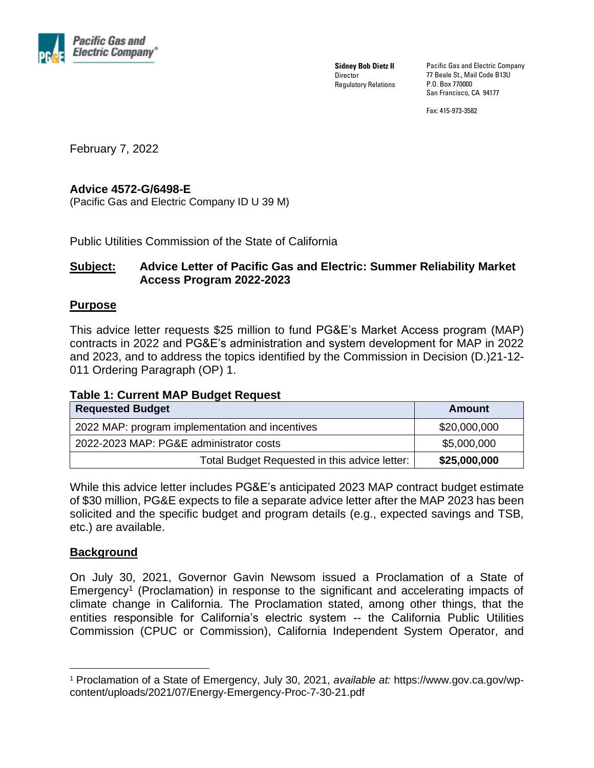

**Sidney Bob Dietz II Director** Regulatory Relations Pacific Gas and Electric Company 77 Beale St., Mail Code B13U P.O. Box 770000 San Francisco, CA 94177

Fax: 415-973-3582

February 7, 2022

## **Advice 4572-G/6498-E**

(Pacific Gas and Electric Company ID U 39 M)

Public Utilities Commission of the State of California

## **Subject: Advice Letter of Pacific Gas and Electric: Summer Reliability Market Access Program 2022-2023**

## **Purpose**

This advice letter requests \$25 million to fund PG&E's Market Access program (MAP) contracts in 2022 and PG&E's administration and system development for MAP in 2022 and 2023, and to address the topics identified by the Commission in Decision (D.)21-12- 011 Ordering Paragraph (OP) 1.

## **Table 1: Current MAP Budget Request**

| <b>Requested Budget</b>                         | Amount       |
|-------------------------------------------------|--------------|
| 2022 MAP: program implementation and incentives | \$20,000,000 |
| 2022-2023 MAP: PG&E administrator costs         | \$5,000,000  |
| Total Budget Requested in this advice letter:   | \$25,000,000 |

While this advice letter includes PG&E's anticipated 2023 MAP contract budget estimate of \$30 million, PG&E expects to file a separate advice letter after the MAP 2023 has been solicited and the specific budget and program details (e.g., expected savings and TSB, etc.) are available.

## **Background**

On July 30, 2021, Governor Gavin Newsom issued a Proclamation of a State of Emergency<sup>1</sup> (Proclamation) in response to the significant and accelerating impacts of climate change in California. The Proclamation stated, among other things, that the entities responsible for California's electric system -- the California Public Utilities Commission (CPUC or Commission), California Independent System Operator, and

<sup>1</sup> Proclamation of a State of Emergency, July 30, 2021, *available at:* https://www.gov.ca.gov/wpcontent/uploads/2021/07/Energy-Emergency-Proc-7-30-21.pdf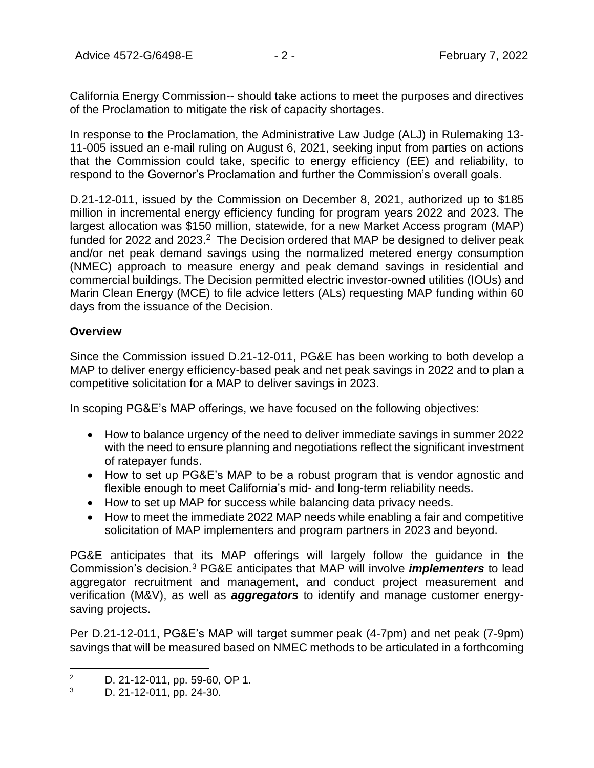California Energy Commission-- should take actions to meet the purposes and directives of the Proclamation to mitigate the risk of capacity shortages.

In response to the Proclamation, the Administrative Law Judge (ALJ) in Rulemaking 13- 11-005 issued an e-mail ruling on August 6, 2021, seeking input from parties on actions that the Commission could take, specific to energy efficiency (EE) and reliability, to respond to the Governor's Proclamation and further the Commission's overall goals.

D.21-12-011, issued by the Commission on December 8, 2021, authorized up to \$185 million in incremental energy efficiency funding for program years 2022 and 2023. The largest allocation was \$150 million, statewide, for a new Market Access program (MAP) funded for 2022 and 2023.<sup>2</sup> The Decision ordered that MAP be designed to deliver peak and/or net peak demand savings using the normalized metered energy consumption (NMEC) approach to measure energy and peak demand savings in residential and commercial buildings. The Decision permitted electric investor-owned utilities (IOUs) and Marin Clean Energy (MCE) to file advice letters (ALs) requesting MAP funding within 60 days from the issuance of the Decision.

## **Overview**

Since the Commission issued D.21-12-011, PG&E has been working to both develop a MAP to deliver energy efficiency-based peak and net peak savings in 2022 and to plan a competitive solicitation for a MAP to deliver savings in 2023.

In scoping PG&E's MAP offerings, we have focused on the following objectives:

- How to balance urgency of the need to deliver immediate savings in summer 2022 with the need to ensure planning and negotiations reflect the significant investment of ratepayer funds.
- How to set up PG&E's MAP to be a robust program that is vendor agnostic and flexible enough to meet California's mid- and long-term reliability needs.
- How to set up MAP for success while balancing data privacy needs.
- How to meet the immediate 2022 MAP needs while enabling a fair and competitive solicitation of MAP implementers and program partners in 2023 and beyond.

PG&E anticipates that its MAP offerings will largely follow the guidance in the Commission's decision.<sup>3</sup> PG&E anticipates that MAP will involve *implementers* to lead aggregator recruitment and management, and conduct project measurement and verification (M&V), as well as *aggregators* to identify and manage customer energysaving projects.

Per D.21-12-011, PG&E's MAP will target summer peak (4-7pm) and net peak (7-9pm) savings that will be measured based on NMEC methods to be articulated in a forthcoming

<sup>&</sup>lt;sup>2</sup> D. 21-12-011, pp. 59-60, OP 1.<br>3 D. 21-12-011, pp. 24-30

D. 21-12-011, pp. 24-30.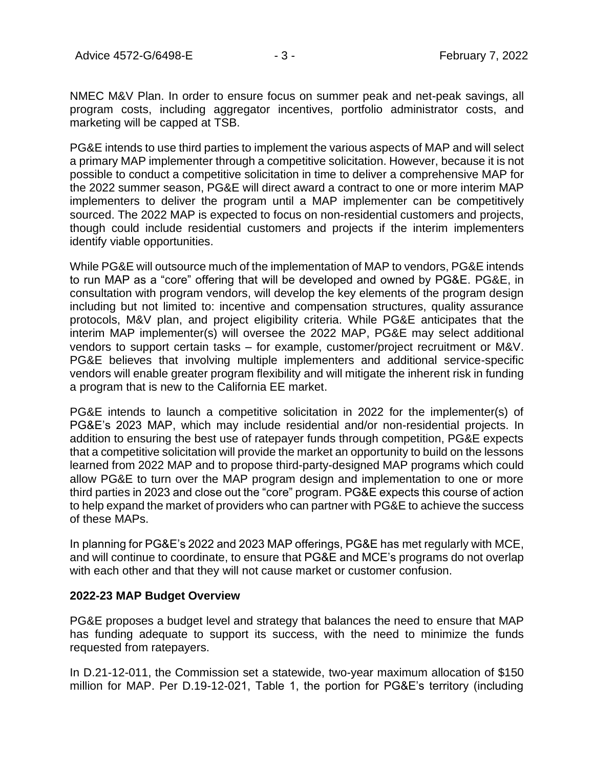NMEC M&V Plan. In order to ensure focus on summer peak and net-peak savings, all program costs, including aggregator incentives, portfolio administrator costs, and marketing will be capped at TSB.

PG&E intends to use third parties to implement the various aspects of MAP and will select a primary MAP implementer through a competitive solicitation. However, because it is not possible to conduct a competitive solicitation in time to deliver a comprehensive MAP for the 2022 summer season, PG&E will direct award a contract to one or more interim MAP implementers to deliver the program until a MAP implementer can be competitively sourced. The 2022 MAP is expected to focus on non-residential customers and projects, though could include residential customers and projects if the interim implementers identify viable opportunities.

While PG&E will outsource much of the implementation of MAP to vendors, PG&E intends to run MAP as a "core" offering that will be developed and owned by PG&E. PG&E, in consultation with program vendors, will develop the key elements of the program design including but not limited to: incentive and compensation structures, quality assurance protocols, M&V plan, and project eligibility criteria. While PG&E anticipates that the interim MAP implementer(s) will oversee the 2022 MAP, PG&E may select additional vendors to support certain tasks – for example, customer/project recruitment or M&V. PG&E believes that involving multiple implementers and additional service-specific vendors will enable greater program flexibility and will mitigate the inherent risk in funding a program that is new to the California EE market.

PG&E intends to launch a competitive solicitation in 2022 for the implementer(s) of PG&E's 2023 MAP, which may include residential and/or non-residential projects. In addition to ensuring the best use of ratepayer funds through competition, PG&E expects that a competitive solicitation will provide the market an opportunity to build on the lessons learned from 2022 MAP and to propose third-party-designed MAP programs which could allow PG&E to turn over the MAP program design and implementation to one or more third parties in 2023 and close out the "core" program. PG&E expects this course of action to help expand the market of providers who can partner with PG&E to achieve the success of these MAPs.

In planning for PG&E's 2022 and 2023 MAP offerings, PG&E has met regularly with MCE, and will continue to coordinate, to ensure that PG&E and MCE's programs do not overlap with each other and that they will not cause market or customer confusion.

## **2022-23 MAP Budget Overview**

PG&E proposes a budget level and strategy that balances the need to ensure that MAP has funding adequate to support its success, with the need to minimize the funds requested from ratepayers.

In D.21-12-011, the Commission set a statewide, two-year maximum allocation of \$150 million for MAP. Per D.19-12-021, Table 1, the portion for PG&E's territory (including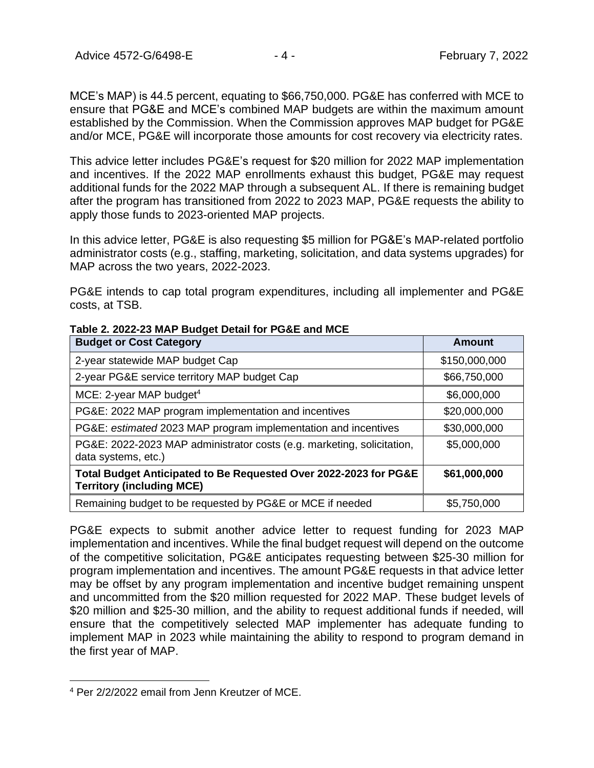Advice 4572-G/6498-E - 4 - 4 - February 7, 2022

MCE's MAP) is 44.5 percent, equating to \$66,750,000. PG&E has conferred with MCE to ensure that PG&E and MCE's combined MAP budgets are within the maximum amount established by the Commission. When the Commission approves MAP budget for PG&E and/or MCE, PG&E will incorporate those amounts for cost recovery via electricity rates.

This advice letter includes PG&E's request for \$20 million for 2022 MAP implementation and incentives. If the 2022 MAP enrollments exhaust this budget, PG&E may request additional funds for the 2022 MAP through a subsequent AL. If there is remaining budget after the program has transitioned from 2022 to 2023 MAP, PG&E requests the ability to apply those funds to 2023-oriented MAP projects.

In this advice letter, PG&E is also requesting \$5 million for PG&E's MAP-related portfolio administrator costs (e.g., staffing, marketing, solicitation, and data systems upgrades) for MAP across the two years, 2022-2023.

PG&E intends to cap total program expenditures, including all implementer and PG&E costs, at TSB.

| <b>Budget or Cost Category</b>                                                                       | Amount        |  |  |
|------------------------------------------------------------------------------------------------------|---------------|--|--|
| 2-year statewide MAP budget Cap                                                                      | \$150,000,000 |  |  |
| 2-year PG&E service territory MAP budget Cap                                                         | \$66,750,000  |  |  |
| MCE: 2-year MAP budget <sup>4</sup>                                                                  | \$6,000,000   |  |  |
| PG&E: 2022 MAP program implementation and incentives                                                 | \$20,000,000  |  |  |
| PG&E: estimated 2023 MAP program implementation and incentives                                       | \$30,000,000  |  |  |
| PG&E: 2022-2023 MAP administrator costs (e.g. marketing, solicitation,<br>data systems, etc.)        | \$5,000,000   |  |  |
| Total Budget Anticipated to Be Requested Over 2022-2023 for PG&E<br><b>Territory (including MCE)</b> | \$61,000,000  |  |  |
| Remaining budget to be requested by PG&E or MCE if needed                                            | \$5,750,000   |  |  |

**Table 2. 2022-23 MAP Budget Detail for PG&E and MCE**

PG&E expects to submit another advice letter to request funding for 2023 MAP implementation and incentives. While the final budget request will depend on the outcome of the competitive solicitation, PG&E anticipates requesting between \$25-30 million for program implementation and incentives. The amount PG&E requests in that advice letter may be offset by any program implementation and incentive budget remaining unspent and uncommitted from the \$20 million requested for 2022 MAP. These budget levels of \$20 million and \$25-30 million, and the ability to request additional funds if needed, will ensure that the competitively selected MAP implementer has adequate funding to implement MAP in 2023 while maintaining the ability to respond to program demand in the first year of MAP.

<sup>4</sup> Per 2/2/2022 email from Jenn Kreutzer of MCE.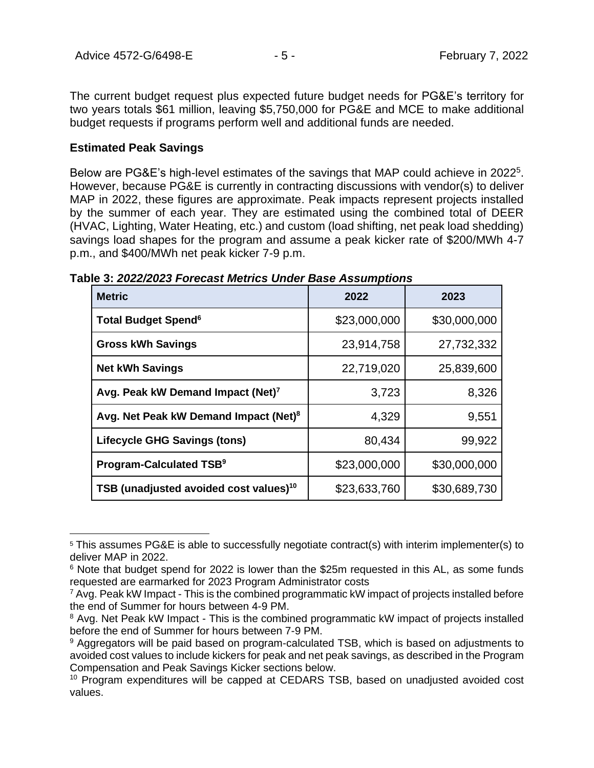The current budget request plus expected future budget needs for PG&E's territory for two years totals \$61 million, leaving \$5,750,000 for PG&E and MCE to make additional budget requests if programs perform well and additional funds are needed.

## **Estimated Peak Savings**

Below are PG&E's high-level estimates of the savings that MAP could achieve in 2022<sup>5</sup>. However, because PG&E is currently in contracting discussions with vendor(s) to deliver MAP in 2022, these figures are approximate. Peak impacts represent projects installed by the summer of each year. They are estimated using the combined total of DEER (HVAC, Lighting, Water Heating, etc.) and custom (load shifting, net peak load shedding) savings load shapes for the program and assume a peak kicker rate of \$200/MWh 4-7 p.m., and \$400/MWh net peak kicker 7-9 p.m.

| <b>Metric</b>                                      | 2022         | 2023         |  |
|----------------------------------------------------|--------------|--------------|--|
| <b>Total Budget Spend<sup>6</sup></b>              | \$23,000,000 | \$30,000,000 |  |
| <b>Gross kWh Savings</b>                           | 23,914,758   | 27,732,332   |  |
| <b>Net kWh Savings</b>                             | 22,719,020   | 25,839,600   |  |
| Avg. Peak kW Demand Impact (Net) <sup>7</sup>      | 3,723        | 8,326        |  |
| Avg. Net Peak kW Demand Impact (Net) <sup>8</sup>  | 4,329        | 9,551        |  |
| <b>Lifecycle GHG Savings (tons)</b>                | 80,434       | 99,922       |  |
| Program-Calculated TSB <sup>9</sup>                | \$23,000,000 | \$30,000,000 |  |
| TSB (unadjusted avoided cost values) <sup>10</sup> | \$23,633,760 | \$30,689,730 |  |

**Table 3:** *2022/2023 Forecast Metrics Under Base Assumptions*

<sup>5</sup> This assumes PG&E is able to successfully negotiate contract(s) with interim implementer(s) to deliver MAP in 2022.

 $6$  Note that budget spend for 2022 is lower than the \$25m requested in this AL, as some funds requested are earmarked for 2023 Program Administrator costs

 $7$  Avg. Peak kW Impact - This is the combined programmatic kW impact of projects installed before the end of Summer for hours between 4-9 PM.

<sup>&</sup>lt;sup>8</sup> Avg. Net Peak kW Impact - This is the combined programmatic kW impact of projects installed before the end of Summer for hours between 7-9 PM.

<sup>&</sup>lt;sup>9</sup> Aggregators will be paid based on program-calculated TSB, which is based on adjustments to avoided cost values to include kickers for peak and net peak savings, as described in the Program Compensation and Peak Savings Kicker sections below.

<sup>&</sup>lt;sup>10</sup> Program expenditures will be capped at CEDARS TSB, based on unadjusted avoided cost values.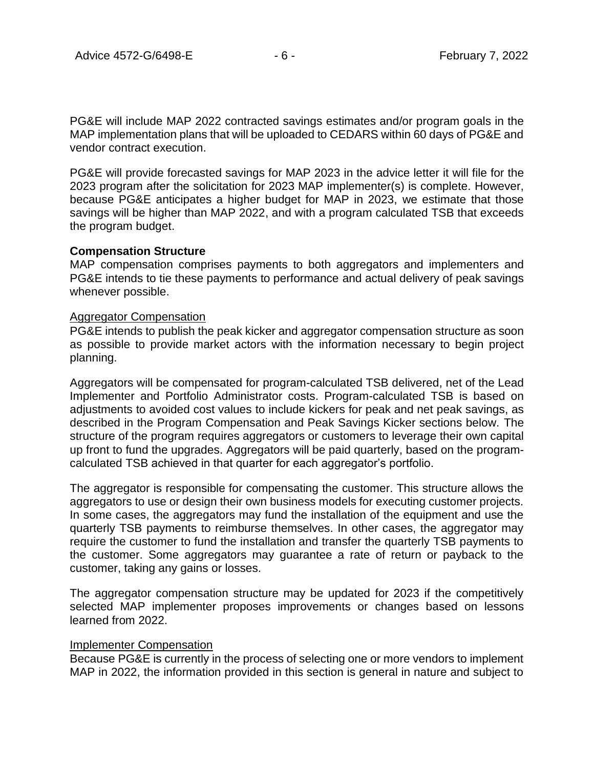PG&E will include MAP 2022 contracted savings estimates and/or program goals in the MAP implementation plans that will be uploaded to CEDARS within 60 days of PG&E and vendor contract execution.

PG&E will provide forecasted savings for MAP 2023 in the advice letter it will file for the 2023 program after the solicitation for 2023 MAP implementer(s) is complete. However, because PG&E anticipates a higher budget for MAP in 2023, we estimate that those savings will be higher than MAP 2022, and with a program calculated TSB that exceeds the program budget.

#### **Compensation Structure**

MAP compensation comprises payments to both aggregators and implementers and PG&E intends to tie these payments to performance and actual delivery of peak savings whenever possible.

## Aggregator Compensation

PG&E intends to publish the peak kicker and aggregator compensation structure as soon as possible to provide market actors with the information necessary to begin project planning.

Aggregators will be compensated for program-calculated TSB delivered, net of the Lead Implementer and Portfolio Administrator costs. Program-calculated TSB is based on adjustments to avoided cost values to include kickers for peak and net peak savings, as described in the Program Compensation and Peak Savings Kicker sections below. The structure of the program requires aggregators or customers to leverage their own capital up front to fund the upgrades. Aggregators will be paid quarterly, based on the programcalculated TSB achieved in that quarter for each aggregator's portfolio.

The aggregator is responsible for compensating the customer. This structure allows the aggregators to use or design their own business models for executing customer projects. In some cases, the aggregators may fund the installation of the equipment and use the quarterly TSB payments to reimburse themselves. In other cases, the aggregator may require the customer to fund the installation and transfer the quarterly TSB payments to the customer. Some aggregators may guarantee a rate of return or payback to the customer, taking any gains or losses.

The aggregator compensation structure may be updated for 2023 if the competitively selected MAP implementer proposes improvements or changes based on lessons learned from 2022.

#### Implementer Compensation

Because PG&E is currently in the process of selecting one or more vendors to implement MAP in 2022, the information provided in this section is general in nature and subject to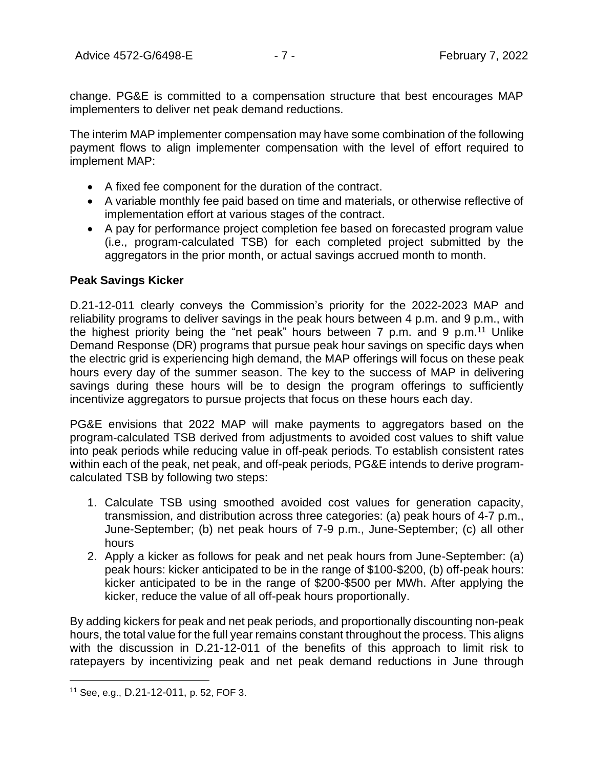change. PG&E is committed to a compensation structure that best encourages MAP implementers to deliver net peak demand reductions.

The interim MAP implementer compensation may have some combination of the following payment flows to align implementer compensation with the level of effort required to implement MAP:

- A fixed fee component for the duration of the contract.
- A variable monthly fee paid based on time and materials, or otherwise reflective of implementation effort at various stages of the contract.
- A pay for performance project completion fee based on forecasted program value (i.e., program-calculated TSB) for each completed project submitted by the aggregators in the prior month, or actual savings accrued month to month.

## **Peak Savings Kicker**

D.21-12-011 clearly conveys the Commission's priority for the 2022-2023 MAP and reliability programs to deliver savings in the peak hours between 4 p.m. and 9 p.m., with the highest priority being the "net peak" hours between  $7$  p.m. and  $9$  p.m.<sup>11</sup> Unlike Demand Response (DR) programs that pursue peak hour savings on specific days when the electric grid is experiencing high demand, the MAP offerings will focus on these peak hours every day of the summer season. The key to the success of MAP in delivering savings during these hours will be to design the program offerings to sufficiently incentivize aggregators to pursue projects that focus on these hours each day.

PG&E envisions that 2022 MAP will make payments to aggregators based on the program-calculated TSB derived from adjustments to avoided cost values to shift value into peak periods while reducing value in off-peak periods. To establish consistent rates within each of the peak, net peak, and off-peak periods, PG&E intends to derive programcalculated TSB by following two steps:

- 1. Calculate TSB using smoothed avoided cost values for generation capacity, transmission, and distribution across three categories: (a) peak hours of 4-7 p.m., June-September; (b) net peak hours of 7-9 p.m., June-September; (c) all other hours
- 2. Apply a kicker as follows for peak and net peak hours from June-September: (a) peak hours: kicker anticipated to be in the range of \$100-\$200, (b) off-peak hours: kicker anticipated to be in the range of \$200-\$500 per MWh. After applying the kicker, reduce the value of all off-peak hours proportionally.

By adding kickers for peak and net peak periods, and proportionally discounting non-peak hours, the total value for the full year remains constant throughout the process. This aligns with the discussion in D.21-12-011 of the benefits of this approach to limit risk to ratepayers by incentivizing peak and net peak demand reductions in June through

<sup>11</sup> See, e.g., D.21-12-011, p. 52, FOF 3.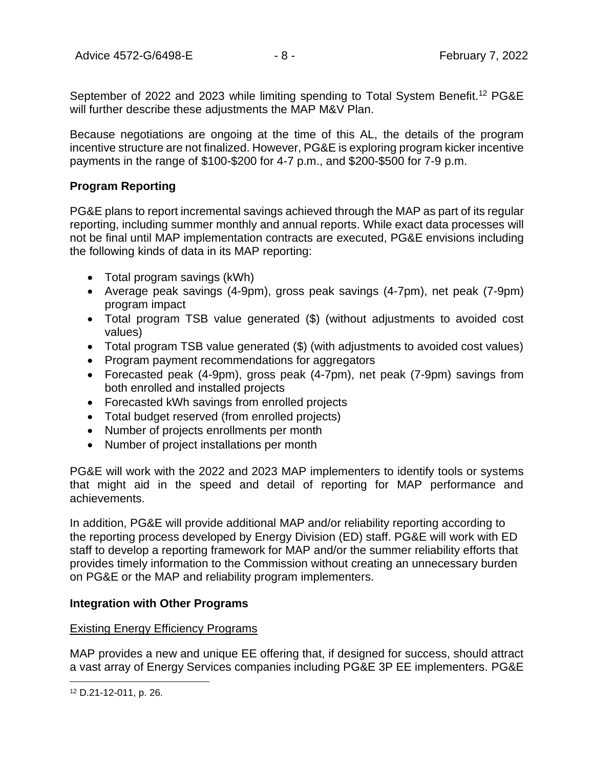September of 2022 and 2023 while limiting spending to Total System Benefit.<sup>12</sup> PG&E will further describe these adiustments the MAP M&V Plan.

Because negotiations are ongoing at the time of this AL, the details of the program incentive structure are not finalized. However, PG&E is exploring program kicker incentive payments in the range of \$100-\$200 for 4-7 p.m., and \$200-\$500 for 7-9 p.m.

## **Program Reporting**

PG&E plans to report incremental savings achieved through the MAP as part of its regular reporting, including summer monthly and annual reports. While exact data processes will not be final until MAP implementation contracts are executed, PG&E envisions including the following kinds of data in its MAP reporting:

- Total program savings (kWh)
- Average peak savings (4-9pm), gross peak savings (4-7pm), net peak (7-9pm) program impact
- Total program TSB value generated (\$) (without adjustments to avoided cost values)
- Total program TSB value generated (\$) (with adjustments to avoided cost values)
- Program payment recommendations for aggregators
- Forecasted peak (4-9pm), gross peak (4-7pm), net peak (7-9pm) savings from both enrolled and installed projects
- Forecasted kWh savings from enrolled projects
- Total budget reserved (from enrolled projects)
- Number of projects enrollments per month
- Number of project installations per month

PG&E will work with the 2022 and 2023 MAP implementers to identify tools or systems that might aid in the speed and detail of reporting for MAP performance and achievements.

In addition, PG&E will provide additional MAP and/or reliability reporting according to the reporting process developed by Energy Division (ED) staff. PG&E will work with ED staff to develop a reporting framework for MAP and/or the summer reliability efforts that provides timely information to the Commission without creating an unnecessary burden on PG&E or the MAP and reliability program implementers.

## **Integration with Other Programs**

## Existing Energy Efficiency Programs

MAP provides a new and unique EE offering that, if designed for success, should attract a vast array of Energy Services companies including PG&E 3P EE implementers. PG&E

<sup>12</sup> D.21-12-011, p. 26.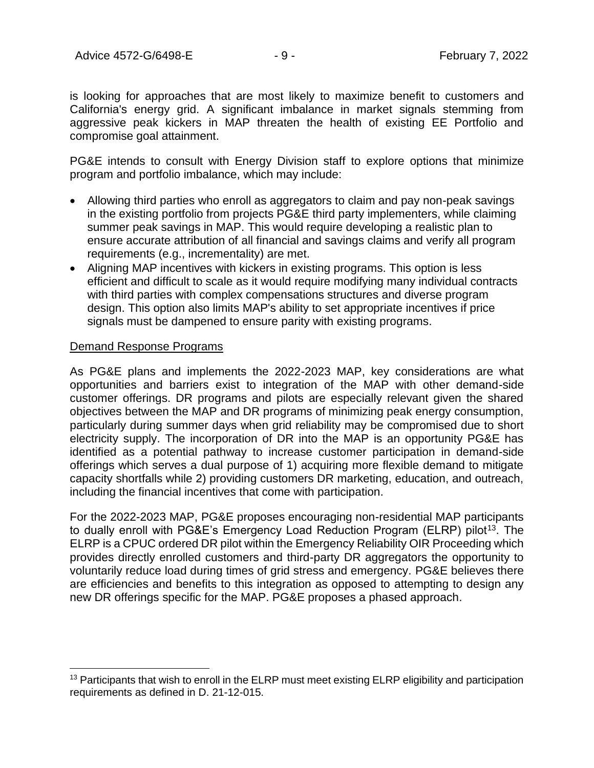is looking for approaches that are most likely to maximize benefit to customers and California's energy grid. A significant imbalance in market signals stemming from aggressive peak kickers in MAP threaten the health of existing EE Portfolio and compromise goal attainment.

PG&E intends to consult with Energy Division staff to explore options that minimize program and portfolio imbalance, which may include:

- Allowing third parties who enroll as aggregators to claim and pay non-peak savings in the existing portfolio from projects PG&E third party implementers, while claiming summer peak savings in MAP. This would require developing a realistic plan to ensure accurate attribution of all financial and savings claims and verify all program requirements (e.g., incrementality) are met.
- Aligning MAP incentives with kickers in existing programs. This option is less efficient and difficult to scale as it would require modifying many individual contracts with third parties with complex compensations structures and diverse program design. This option also limits MAP's ability to set appropriate incentives if price signals must be dampened to ensure parity with existing programs.

## Demand Response Programs

As PG&E plans and implements the 2022-2023 MAP, key considerations are what opportunities and barriers exist to integration of the MAP with other demand-side customer offerings. DR programs and pilots are especially relevant given the shared objectives between the MAP and DR programs of minimizing peak energy consumption, particularly during summer days when grid reliability may be compromised due to short electricity supply. The incorporation of DR into the MAP is an opportunity PG&E has identified as a potential pathway to increase customer participation in demand-side offerings which serves a dual purpose of 1) acquiring more flexible demand to mitigate capacity shortfalls while 2) providing customers DR marketing, education, and outreach, including the financial incentives that come with participation.

For the 2022-2023 MAP, PG&E proposes encouraging non-residential MAP participants to dually enroll with PG&E's Emergency Load Reduction Program (ELRP) pilot<sup>13</sup>. The ELRP is a CPUC ordered DR pilot within the Emergency Reliability OIR Proceeding which provides directly enrolled customers and third-party DR aggregators the opportunity to voluntarily reduce load during times of grid stress and emergency. PG&E believes there are efficiencies and benefits to this integration as opposed to attempting to design any new DR offerings specific for the MAP. PG&E proposes a phased approach.

<sup>&</sup>lt;sup>13</sup> Participants that wish to enroll in the ELRP must meet existing ELRP eligibility and participation requirements as defined in D. 21-12-015.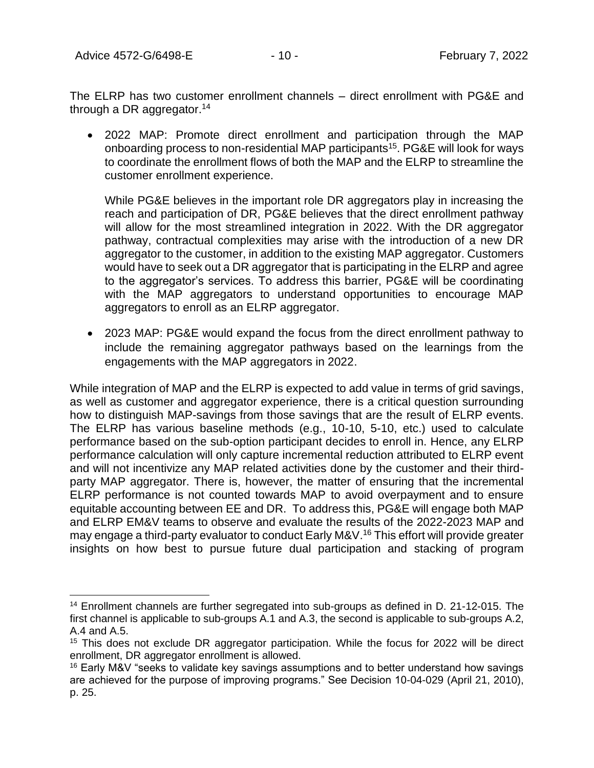Advice 4572-G/6498-E - 10 - 10 - February 7, 2022

The ELRP has two customer enrollment channels – direct enrollment with PG&E and through a DR aggregator.<sup>14</sup>

• 2022 MAP: Promote direct enrollment and participation through the MAP onboarding process to non-residential MAP participants<sup>15</sup>. PG&E will look for ways to coordinate the enrollment flows of both the MAP and the ELRP to streamline the customer enrollment experience.

While PG&E believes in the important role DR aggregators play in increasing the reach and participation of DR, PG&E believes that the direct enrollment pathway will allow for the most streamlined integration in 2022. With the DR aggregator pathway, contractual complexities may arise with the introduction of a new DR aggregator to the customer, in addition to the existing MAP aggregator. Customers would have to seek out a DR aggregator that is participating in the ELRP and agree to the aggregator's services. To address this barrier, PG&E will be coordinating with the MAP aggregators to understand opportunities to encourage MAP aggregators to enroll as an ELRP aggregator.

• 2023 MAP: PG&E would expand the focus from the direct enrollment pathway to include the remaining aggregator pathways based on the learnings from the engagements with the MAP aggregators in 2022.

While integration of MAP and the ELRP is expected to add value in terms of grid savings, as well as customer and aggregator experience, there is a critical question surrounding how to distinguish MAP-savings from those savings that are the result of ELRP events. The ELRP has various baseline methods (e.g., 10-10, 5-10, etc.) used to calculate performance based on the sub-option participant decides to enroll in. Hence, any ELRP performance calculation will only capture incremental reduction attributed to ELRP event and will not incentivize any MAP related activities done by the customer and their thirdparty MAP aggregator. There is, however, the matter of ensuring that the incremental ELRP performance is not counted towards MAP to avoid overpayment and to ensure equitable accounting between EE and DR. To address this, PG&E will engage both MAP and ELRP EM&V teams to observe and evaluate the results of the 2022-2023 MAP and may engage a third-party evaluator to conduct Early M&V. <sup>16</sup> This effort will provide greater insights on how best to pursue future dual participation and stacking of program

<sup>&</sup>lt;sup>14</sup> Enrollment channels are further segregated into sub-groups as defined in D. 21-12-015. The first channel is applicable to sub-groups A.1 and A.3, the second is applicable to sub-groups A.2, A.4 and A.5.

<sup>&</sup>lt;sup>15</sup> This does not exclude DR aggregator participation. While the focus for 2022 will be direct enrollment, DR aggregator enrollment is allowed.

 $16$  Early M&V "seeks to validate key savings assumptions and to better understand how savings are achieved for the purpose of improving programs." See Decision 10-04-029 (April 21, 2010), p. 25.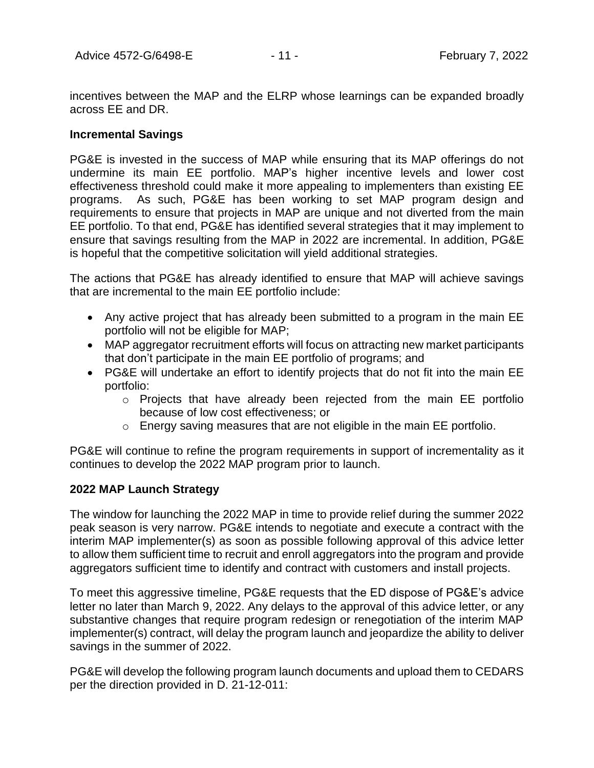incentives between the MAP and the ELRP whose learnings can be expanded broadly across EE and DR.

## **Incremental Savings**

PG&E is invested in the success of MAP while ensuring that its MAP offerings do not undermine its main EE portfolio. MAP's higher incentive levels and lower cost effectiveness threshold could make it more appealing to implementers than existing EE programs. As such, PG&E has been working to set MAP program design and requirements to ensure that projects in MAP are unique and not diverted from the main EE portfolio. To that end, PG&E has identified several strategies that it may implement to ensure that savings resulting from the MAP in 2022 are incremental. In addition, PG&E is hopeful that the competitive solicitation will yield additional strategies.

The actions that PG&E has already identified to ensure that MAP will achieve savings that are incremental to the main EE portfolio include:

- Any active project that has already been submitted to a program in the main EE portfolio will not be eligible for MAP;
- MAP aggregator recruitment efforts will focus on attracting new market participants that don't participate in the main EE portfolio of programs; and
- PG&E will undertake an effort to identify projects that do not fit into the main EE portfolio:
	- o Projects that have already been rejected from the main EE portfolio because of low cost effectiveness; or
	- o Energy saving measures that are not eligible in the main EE portfolio.

PG&E will continue to refine the program requirements in support of incrementality as it continues to develop the 2022 MAP program prior to launch.

## **2022 MAP Launch Strategy**

The window for launching the 2022 MAP in time to provide relief during the summer 2022 peak season is very narrow. PG&E intends to negotiate and execute a contract with the interim MAP implementer(s) as soon as possible following approval of this advice letter to allow them sufficient time to recruit and enroll aggregators into the program and provide aggregators sufficient time to identify and contract with customers and install projects.

To meet this aggressive timeline, PG&E requests that the ED dispose of PG&E's advice letter no later than March 9, 2022. Any delays to the approval of this advice letter, or any substantive changes that require program redesign or renegotiation of the interim MAP implementer(s) contract, will delay the program launch and jeopardize the ability to deliver savings in the summer of 2022.

PG&E will develop the following program launch documents and upload them to CEDARS per the direction provided in D. 21-12-011: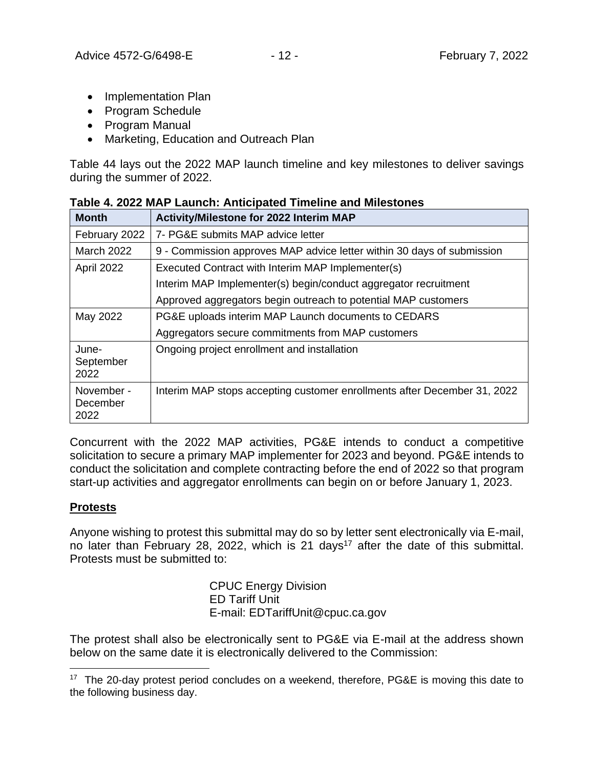- Implementation Plan
- Program Schedule
- Program Manual
- Marketing, Education and Outreach Plan

[Table 44](#page-11-0) lays out the 2022 MAP launch timeline and key milestones to deliver savings during the summer of 2022.

| <b>Month</b>                   | <b>Activity/Milestone for 2022 Interim MAP</b>                           |
|--------------------------------|--------------------------------------------------------------------------|
| February 2022                  | 7- PG&E submits MAP advice letter                                        |
| <b>March 2022</b>              | 9 - Commission approves MAP advice letter within 30 days of submission   |
| April 2022                     | Executed Contract with Interim MAP Implementer(s)                        |
|                                | Interim MAP Implementer(s) begin/conduct aggregator recruitment          |
|                                | Approved aggregators begin outreach to potential MAP customers           |
| May 2022                       | PG&E uploads interim MAP Launch documents to CEDARS                      |
|                                | Aggregators secure commitments from MAP customers                        |
| June-<br>September<br>2022     | Ongoing project enrollment and installation                              |
| November -<br>December<br>2022 | Interim MAP stops accepting customer enrollments after December 31, 2022 |

<span id="page-11-0"></span>

|  | Table 4. 2022 MAP Launch: Anticipated Timeline and Milestones |
|--|---------------------------------------------------------------|
|--|---------------------------------------------------------------|

Concurrent with the 2022 MAP activities, PG&E intends to conduct a competitive solicitation to secure a primary MAP implementer for 2023 and beyond. PG&E intends to conduct the solicitation and complete contracting before the end of 2022 so that program start-up activities and aggregator enrollments can begin on or before January 1, 2023.

# **Protests**

Anyone wishing to protest this submittal may do so by letter sent electronically via E-mail, no later than February 28, 2022, which is 21 days<sup>17</sup> after the date of this submittal. Protests must be submitted to:

> CPUC Energy Division ED Tariff Unit E-mail: EDTariffUnit@cpuc.ca.gov

The protest shall also be electronically sent to PG&E via E-mail at the address shown below on the same date it is electronically delivered to the Commission:

<sup>&</sup>lt;sup>17</sup> The 20-day protest period concludes on a weekend, therefore, PG&E is moving this date to the following business day.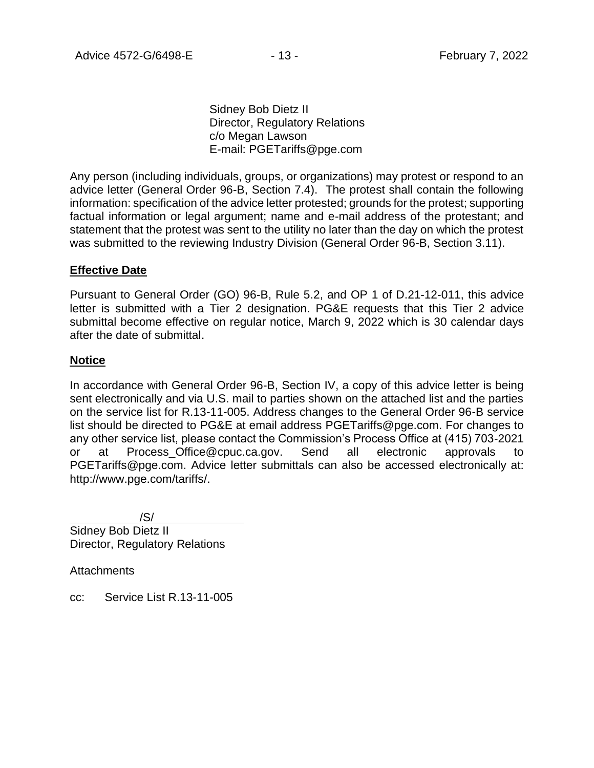Sidney Bob Dietz II Director, Regulatory Relations c/o Megan Lawson E-mail: PGETariffs@pge.com

Any person (including individuals, groups, or organizations) may protest or respond to an advice letter (General Order 96-B, Section 7.4). The protest shall contain the following information: specification of the advice letter protested; grounds for the protest; supporting factual information or legal argument; name and e-mail address of the protestant; and statement that the protest was sent to the utility no later than the day on which the protest was submitted to the reviewing Industry Division (General Order 96-B, Section 3.11).

## **Effective Date**

Pursuant to General Order (GO) 96-B, Rule 5.2, and OP 1 of D.21-12-011, this advice letter is submitted with a Tier 2 designation. PG&E requests that this Tier 2 advice submittal become effective on regular notice, March 9, 2022 which is 30 calendar days after the date of submittal.

## **Notice**

In accordance with General Order 96-B, Section IV, a copy of this advice letter is being sent electronically and via U.S. mail to parties shown on the attached list and the parties on the service list for R.13-11-005. Address changes to the General Order 96-B service list should be directed to PG&E at email address PGETariffs@pge.com. For changes to any other service list, please contact the Commission's Process Office at (415) 703-2021 or at Process\_Office@cpuc.ca.gov. Send all electronic approvals to PGETariffs@pge.com. Advice letter submittals can also be accessed electronically at: http://www.pge.com/tariffs/.

/S/ Sidney Bob Dietz II Director, Regulatory Relations

**Attachments** 

cc: Service List R.13-11-005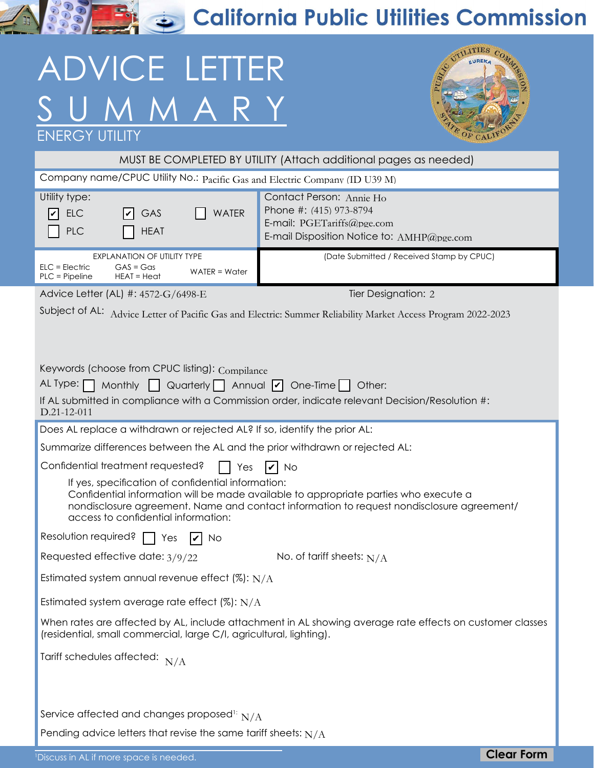**RASHER California Public Utilities Commission** 

# ADVICE LETTER SUMMARY



| <b>ENERGY UTILITY</b>                                                                                                                                                                                                                                                                                                                                                |                                                                                                                                 | COF CALIFO        |  |  |
|----------------------------------------------------------------------------------------------------------------------------------------------------------------------------------------------------------------------------------------------------------------------------------------------------------------------------------------------------------------------|---------------------------------------------------------------------------------------------------------------------------------|-------------------|--|--|
| MUST BE COMPLETED BY UTILITY (Attach additional pages as needed)                                                                                                                                                                                                                                                                                                     |                                                                                                                                 |                   |  |  |
| Company name/CPUC Utility No.: Pacific Gas and Electric Company (ID U39 M)                                                                                                                                                                                                                                                                                           |                                                                                                                                 |                   |  |  |
| Utility type:<br><b>WATER</b><br><b>ELC</b><br>GAS<br>VI<br>PLC<br><b>HEAT</b>                                                                                                                                                                                                                                                                                       | Contact Person: Annie Ho<br>Phone #: (415) 973-8794<br>E-mail: PGETariffs@pge.com<br>E-mail Disposition Notice to: AMHP@pge.com |                   |  |  |
| EXPLANATION OF UTILITY TYPE<br>$GAS = Gas$<br>$ELC = Electric$<br>$WATER = Water$<br>$PLC = Pipeline$<br>$HEAT = Heat$                                                                                                                                                                                                                                               | (Date Submitted / Received Stamp by CPUC)                                                                                       |                   |  |  |
| Advice Letter (AL) #: 4572-G/6498-E                                                                                                                                                                                                                                                                                                                                  | Tier Designation: 2                                                                                                             |                   |  |  |
| Subject of AL: Advice Letter of Pacific Gas and Electric: Summer Reliability Market Access Program 2022-2023<br>Keywords (choose from CPUC listing): Compilance<br>AL Type: $\Box$<br>Monthly $\bigcup$ Quarterly Annual $\bigvee$ One-Time Other:<br>If AL submitted in compliance with a Commission order, indicate relevant Decision/Resolution #:<br>D.21-12-011 |                                                                                                                                 |                   |  |  |
| Does AL replace a withdrawn or rejected AL? If so, identify the prior AL:                                                                                                                                                                                                                                                                                            |                                                                                                                                 |                   |  |  |
| Summarize differences between the AL and the prior withdrawn or rejected AL:                                                                                                                                                                                                                                                                                         |                                                                                                                                 |                   |  |  |
| Confidential treatment requested?<br>Yes                                                                                                                                                                                                                                                                                                                             | $ v $ No                                                                                                                        |                   |  |  |
| If yes, specification of confidential information:<br>Confidential information will be made available to appropriate parties who execute a<br>nondisclosure agreement. Name and contact information to request nondisclosure agreement/<br>access to confidential information:                                                                                       |                                                                                                                                 |                   |  |  |
| Resolution required?<br>Yes<br><b>No</b>                                                                                                                                                                                                                                                                                                                             |                                                                                                                                 |                   |  |  |
| Requested effective date: 3/9/22                                                                                                                                                                                                                                                                                                                                     | No. of tariff sheets: $N/A$                                                                                                     |                   |  |  |
| Estimated system annual revenue effect (%): $N/A$                                                                                                                                                                                                                                                                                                                    |                                                                                                                                 |                   |  |  |
| Estimated system average rate effect $(\%): N/A$                                                                                                                                                                                                                                                                                                                     |                                                                                                                                 |                   |  |  |
| When rates are affected by AL, include attachment in AL showing average rate effects on customer classes<br>(residential, small commercial, large C/I, agricultural, lighting).                                                                                                                                                                                      |                                                                                                                                 |                   |  |  |
| Tariff schedules affected: $N/A$                                                                                                                                                                                                                                                                                                                                     |                                                                                                                                 |                   |  |  |
| Service affected and changes proposed <sup>1:</sup> $N/A$<br>Pending advice letters that revise the same tariff sheets: $N/A$<br><sup>1</sup> Discuss in AL if more space is needed.                                                                                                                                                                                 |                                                                                                                                 | <b>Clear Form</b> |  |  |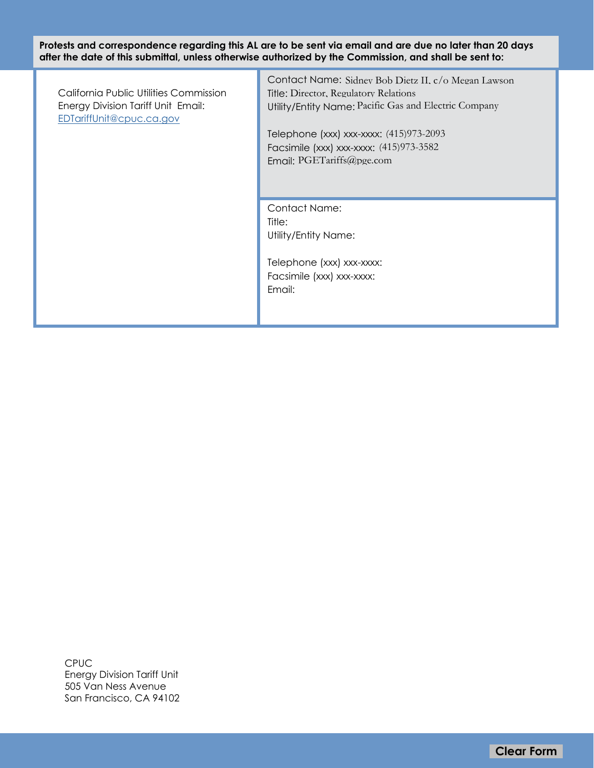**Protests and correspondence regarding this AL are to be sent via email and are due no later than 20 days after the date of this submittal, unless otherwise authorized by the Commission, and shall be sent to:**

California Public Utilities Commission Energy Division Tariff Unit Email: [EDTariffUnit@cpuc.ca.gov](mailto:EDTariffUnit%40cpuc.ca.gov?subject=)

Contact Name: Sidney Bob Dietz II. c/o Megan Lawson Title: Director, Regulatory Relations Utility/Entity Name: Pacific Gas and Electric Company **Clear Form** Pacific Gas and Electric Company (incordination)<br>
Clear Form Pacific Gas and Electric Company<br>
2010 1000 1000-0000 0000-00000 (415)973-2093<br>
PGETariffs@pge.com<br>
PGETariffs@pge.com<br>
Clear Form Pacific Company C

Telephone (xxx) xxx-xxxx: (415)973-2093 Facsimile (xxx) xxx-xxxx: (415)973-3582 Email: PGETariffs@pge.com

Contact Name: Title: Utility/Entity Name:

Telephone (xxx) xxx-xxxx: Facsimile (xxx) xxx-xxxx: Email:

CPUC Energy Division Tariff Unit 505 Van Ness Avenue San Francisco, CA 94102